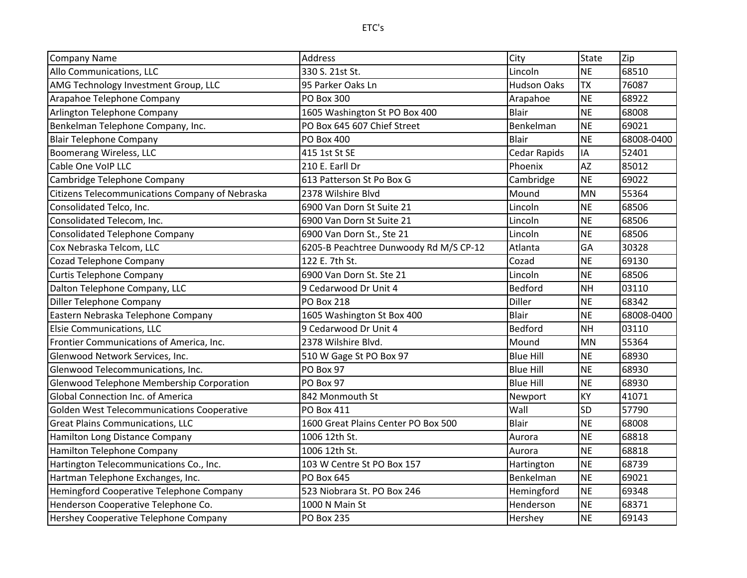| <b>Company Name</b>                               | Address                                | City               | <b>State</b> | Zip        |
|---------------------------------------------------|----------------------------------------|--------------------|--------------|------------|
| Allo Communications, LLC                          | 330 S. 21st St.                        | Lincoln            | <b>NE</b>    | 68510      |
| AMG Technology Investment Group, LLC              | 95 Parker Oaks Ln                      | <b>Hudson Oaks</b> | <b>TX</b>    | 76087      |
| Arapahoe Telephone Company                        | <b>PO Box 300</b>                      | Arapahoe           | <b>NE</b>    | 68922      |
| Arlington Telephone Company                       | 1605 Washington St PO Box 400          | <b>Blair</b>       | <b>NE</b>    | 68008      |
| Benkelman Telephone Company, Inc.                 | PO Box 645 607 Chief Street            | Benkelman          | <b>NE</b>    | 69021      |
| <b>Blair Telephone Company</b>                    | <b>PO Box 400</b>                      | <b>Blair</b>       | <b>NE</b>    | 68008-0400 |
| Boomerang Wireless, LLC                           | 415 1st St SE                          | Cedar Rapids       | IA           | 52401      |
| Cable One VoIP LLC                                | 210 E. Earll Dr                        | Phoenix            | <b>AZ</b>    | 85012      |
| Cambridge Telephone Company                       | 613 Patterson St Po Box G              | Cambridge          | <b>NE</b>    | 69022      |
| Citizens Telecommunications Company of Nebraska   | 2378 Wilshire Blvd                     | Mound              | MN           | 55364      |
| Consolidated Telco, Inc.                          | 6900 Van Dorn St Suite 21              | Lincoln            | <b>NE</b>    | 68506      |
| Consolidated Telecom, Inc.                        | 6900 Van Dorn St Suite 21              | Lincoln            | <b>NE</b>    | 68506      |
| <b>Consolidated Telephone Company</b>             | 6900 Van Dorn St., Ste 21              | Lincoln            | <b>NE</b>    | 68506      |
| Cox Nebraska Telcom, LLC                          | 6205-B Peachtree Dunwoody Rd M/S CP-12 | Atlanta            | GΑ           | 30328      |
| Cozad Telephone Company                           | 122 E. 7th St.                         | Cozad              | <b>NE</b>    | 69130      |
| <b>Curtis Telephone Company</b>                   | 6900 Van Dorn St. Ste 21               | Lincoln            | <b>NE</b>    | 68506      |
| Dalton Telephone Company, LLC                     | 9 Cedarwood Dr Unit 4                  | Bedford            | <b>NH</b>    | 03110      |
| Diller Telephone Company                          | <b>PO Box 218</b>                      | Diller             | <b>NE</b>    | 68342      |
| Eastern Nebraska Telephone Company                | 1605 Washington St Box 400             | <b>Blair</b>       | <b>NE</b>    | 68008-0400 |
| Elsie Communications, LLC                         | 9 Cedarwood Dr Unit 4                  | Bedford            | <b>NH</b>    | 03110      |
| Frontier Communications of America, Inc.          | 2378 Wilshire Blvd.                    | Mound              | <b>MN</b>    | 55364      |
| Glenwood Network Services, Inc.                   | 510 W Gage St PO Box 97                | <b>Blue Hill</b>   | <b>NE</b>    | 68930      |
| Glenwood Telecommunications, Inc.                 | PO Box 97                              | <b>Blue Hill</b>   | <b>NE</b>    | 68930      |
| Glenwood Telephone Membership Corporation         | PO Box 97                              | <b>Blue Hill</b>   | <b>NE</b>    | 68930      |
| Global Connection Inc. of America                 | 842 Monmouth St                        | Newport            | <b>KY</b>    | 41071      |
| <b>Golden West Telecommunications Cooperative</b> | PO Box 411                             | Wall               | <b>SD</b>    | 57790      |
| <b>Great Plains Communications, LLC</b>           | 1600 Great Plains Center PO Box 500    | <b>Blair</b>       | <b>NE</b>    | 68008      |
| Hamilton Long Distance Company                    | 1006 12th St.                          | Aurora             | <b>NE</b>    | 68818      |
| Hamilton Telephone Company                        | 1006 12th St.                          | Aurora             | <b>NE</b>    | 68818      |
| Hartington Telecommunications Co., Inc.           | 103 W Centre St PO Box 157             | Hartington         | <b>NE</b>    | 68739      |
| Hartman Telephone Exchanges, Inc.                 | PO Box 645                             | Benkelman          | <b>NE</b>    | 69021      |
| Hemingford Cooperative Telephone Company          | 523 Niobrara St. PO Box 246            | Hemingford         | <b>NE</b>    | 69348      |
| Henderson Cooperative Telephone Co.               | 1000 N Main St                         | Henderson          | <b>NE</b>    | 68371      |
| Hershey Cooperative Telephone Company             | <b>PO Box 235</b>                      | Hershey            | <b>NE</b>    | 69143      |